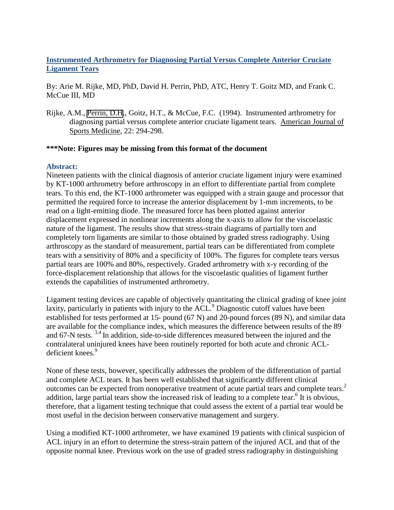# **Instrumented Arthrometry for Diagnosing Partial Versus Complete Anterior Cruciate Ligament Tears**

By: Arie M. Rijke, MD, PhD, David H. Perrin, PhD, ATC, Henry T. Goitz MD, and Frank C. McCue III, MD

Rijke, A.M., [Perrin, D.H.](https://libres.uncg.edu/ir/uncg/clist.aspx?id=1495), Goitz, H.T., & McCue, F.C. (1994). Instrumented arthrometry for diagnosing partial versus complete anterior cruciate ligament tears. American Journal of Sports Medicine, 22: 294-298.

### **\*\*\*Note: Figures may be missing from this format of the document**

## **Abstract:**

Nineteen patients with the clinical diagnosis of anterior cruciate ligament injury were examined by KT-1000 arthrometry before arthroscopy in an effort to differentiate partial from complete tears. To this end, the KT-1000 arthrometer was equipped with a strain gauge and processor that permitted the required force to increase the anterior displacement by 1-mm increments, to be read on a light-emitting diode. The measured force has been plotted against anterior displacement expressed in nonlinear increments along the x-axis to allow for the viscoelastic nature of the ligament. The results show that stress-strain diagrams of partially torn and completely torn ligaments are similar to those obtained by graded stress radiography. Using arthroscopy as the standard of measurement, partial tears can be differentiated from complete tears with a sensitivity of 80% and a specificity of 100%. The figures for complete tears versus partial tears are 100% and 80%, respectively. Graded arthrometry with x-y recording of the force-displacement relationship that allows for the viscoelastic qualities of ligament further extends the capabilities of instrumented arthrometry.

Ligament testing devices are capable of objectively quantitating the clinical grading of knee joint laxity, particularly in patients with injury to the  $ACL$ <sup>9</sup> Diagnostic cutoff values have been established for tests performed at 15- pound (67 N) and 20-pound forces (89 N), and similar data are available for the compliance index, which measures the difference between results of the 89 and 67-N tests.<sup>3,4</sup> In addition, side-to-side differences measured between the injured and the contralateral uninjured knees have been routinely reported for both acute and chronic ACLdeficient knees.<sup>9</sup>

None of these tests, however, specifically addresses the problem of the differentiation of partial and complete ACL tears. It has been well established that significantly different clinical outcomes can be expected from nonoperative treatment of acute partial tears and complete tears.<sup>2</sup> addition, large partial tears show the increased risk of leading to a complete tear.<sup>6</sup> It is obvious, therefore, that a ligament testing technique that could assess the extent of a partial tear would be most useful in the decision between conservative management and surgery.

Using a modified KT-1000 arthrometer, we have examined 19 patients with clinical suspicion of ACL injury in an effort to determine the stress-strain pattern of the injured ACL and that of the opposite normal knee. Previous work on the use of graded stress radiography in distinguishing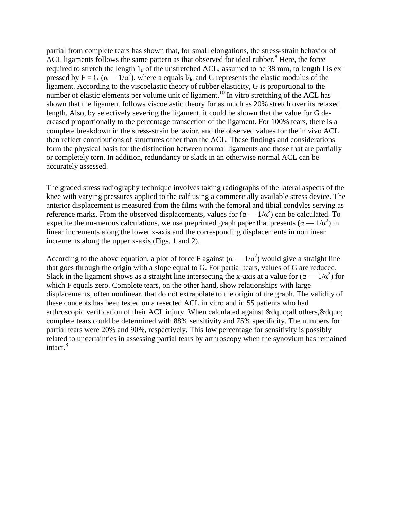partial from complete tears has shown that, for small elongations, the stress-strain behavior of ACL ligaments follows the same pattern as that observed for ideal rubber. $8$  Here, the force required to stretch the length  $1_0$  of the unstretched ACL, assumed to be 38 mm, to length I is expressed by  $F = G(\alpha - 1/\alpha^2)$ , where a equals  $l_{10}$  and G represents the elastic modulus of the ligament. According to the viscoelastic theory of rubber elasticity, G is proportional to the number of elastic elements per volume unit of ligament.<sup>10</sup> In vitro stretching of the ACL has shown that the ligament follows viscoelastic theory for as much as 20% stretch over its relaxed length. Also, by selectively severing the ligament, it could be shown that the value for G decreased proportionally to the percentage transection of the ligament. For 100% tears, there is a complete breakdown in the stress-strain behavior, and the observed values for the in vivo ACL then reflect contributions of structures other than the ACL. These findings and considerations form the physical basis for the distinction between normal ligaments and those that are partially or completely torn. In addition, redundancy or slack in an otherwise normal ACL can be accurately assessed.

The graded stress radiography technique involves taking radiographs of the lateral aspects of the knee with varying pressures applied to the calf using a commercially available stress device. The anterior displacement is measured from the films with the femoral and tibial condyles serving as reference marks. From the observed displacements, values for  $(\alpha - 1/\alpha^2)$  can be calculated. To expedite the nu-merous calculations, we use preprinted graph paper that presents  $(\alpha - 1/\alpha^2)$  in linear increments along the lower x-axis and the corresponding displacements in nonlinear increments along the upper x-axis (Figs. 1 and 2).

According to the above equation, a plot of force F against  $(\alpha - 1/\alpha^2)$  would give a straight line that goes through the origin with a slope equal to G. For partial tears, values of G are reduced. Slack in the ligament shows as a straight line intersecting the x-axis at a value for  $(\alpha - 1/\alpha^2)$  for which F equals zero. Complete tears, on the other hand, show relationships with large displacements, often nonlinear, that do not extrapolate to the origin of the graph. The validity of these concepts has been tested on a resected ACL in vitro and in 55 patients who had arthroscopic verification of their ACL injury. When calculated against &dquo;all others,&dquo; complete tears could be determined with 88% sensitivity and 75% specificity. The numbers for partial tears were 20% and 90%, respectively. This low percentage for sensitivity is possibly related to uncertainties in assessing partial tears by arthroscopy when the synovium has remained  $intact.<sup>8</sup>$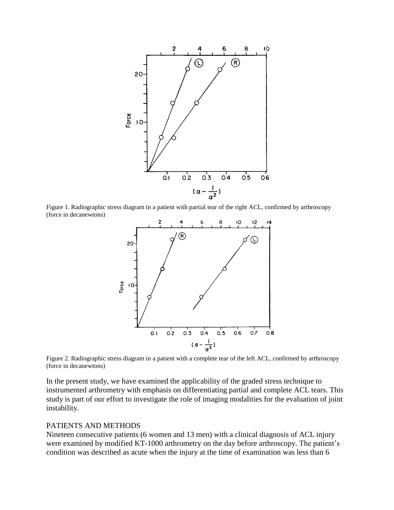

Figure 1. Radiographic stress diagram in a patient with partial tear of the right ACL, confirmed by arthroscopy (force in decanewtons)



Figure 2. Radiographic stress diagram in a patient with a complete tear of the left ACL, confirmed by arthroscopy (force in decanewtons)

In the present study, we have examined the applicability of the graded stress technique to instrumented arthrometry with emphasis on differentiating partial and complete ACL tears. This study is part of our effort to investigate the role of imaging modalities for the evaluation of joint instability.

### PATIENTS AND METHODS

Nineteen consecutive patients (6 women and 13 men) with a clinical diagnosis of ACL injury were examined by modified KT-1000 arthrometry on the day before arthroscopy. The patient's condition was described as acute when the injury at the time of examination was less than 6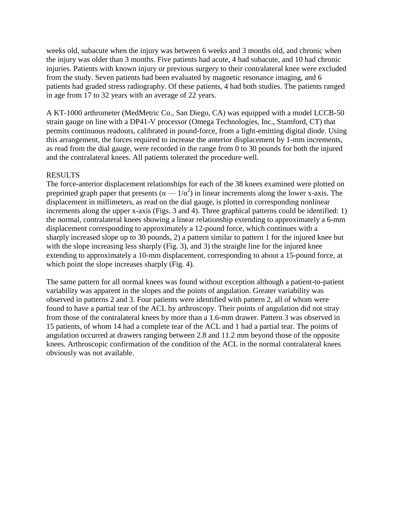weeks old, subacute when the injury was between 6 weeks and 3 months old, and chronic when the injury was older than 3 months. Five patients had acute, 4 had subacute, and 10 had chronic injuries. Patients with known injury or previous surgery to their contralateral knee were excluded from the study. Seven patients had been evaluated by magnetic resonance imaging, and 6 patients had graded stress radiography. Of these patients, 4 had both studies. The patients ranged in age from 17 to 32 years with an average of 22 years.

A KT-1000 arthrometer (MedMetric Co., San Diego, CA) was equipped with a model LCCB-50 strain gauge on line with a DP41-V processor (Omega Technologies, Inc., Stamford, CT) that permits continuous readouts, calibrated in pound-force, from a light-emitting digital diode. Using this arrangement, the forces required to increase the anterior displacement by 1-mm increments, as read from the dial gauge, were recorded in the range from 0 to 30 pounds for both the injured and the contralateral knees. All patients tolerated the procedure well.

### RESULTS

The force-anterior displacement relationships for each of the 38 knees examined were plotted on preprinted graph paper that presents  $(\alpha - 1/\alpha^2)$  in linear increments along the lower x-axis. The displacement in millimeters, as read on the dial gauge, is plotted in corresponding nonlinear increments along the upper x-axis (Figs. 3 and 4). Three graphical patterns could be identified: 1) the normal, contralateral knees showing a linear relationship extending to approximately a 6-mm displacement corresponding to approximately a 12-pound force, which continues with a sharply increased slope up to 30 pounds, 2) a pattern similar to pattern 1 for the injured knee but with the slope increasing less sharply (Fig. 3), and 3) the straight line for the injured knee extending to approximately a 10-mm displacement, corresponding to about a 15-pound force, at which point the slope increases sharply (Fig. 4).

The same pattern for all normal knees was found without exception although a patient-to-patient variability was apparent in the slopes and the points of angulation. Greater variability was observed in patterns 2 and 3. Four patients were identified with pattern 2, all of whom were found to have a partial tear of the ACL by arthroscopy. Their points of angulation did not stray from those of the contralateral knees by more than a 1.6-mm drawer. Pattern 3 was observed in 15 patients, of whom 14 had a complete tear of the ACL and 1 had a partial tear. The points of angulation occurred at drawers ranging between 2.8 and 11.2 mm beyond those of the opposite knees. Arthroscopic confirmation of the condition of the ACL in the normal contralateral knees obviously was not available.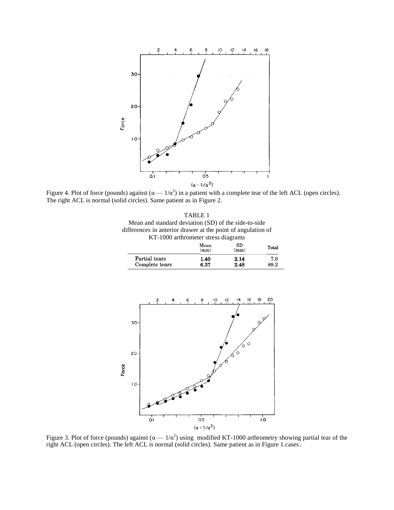

Figure 4. Plot of force (pounds) against  $(\alpha - 1/\alpha^2)$  in a patient with a complete tear of the left ACL (open circles). The right ACL is normal (solid circles). Same patient as in Figure 2.

|                                                              | TABLE 1 |  |
|--------------------------------------------------------------|---------|--|
| Mean and standard deviation (SD) of the side-to-side         |         |  |
| differences in anterior drawer at the point of angulation of |         |  |
| KT-1000 arthrometer stress diagrams                          |         |  |
|                                                              | Mean    |  |

|                | Mean<br>(mm) | SD<br>(mm) | Total |
|----------------|--------------|------------|-------|
| Partial tears  | 1.40         | 2.14       | 7.0   |
| Complete tears | 6.37         | 2.48       | 89.2  |



Figure 3. Plot of force (pounds) against  $(\alpha - 1/\alpha^2)$  using modified KT-1000 arthrometry showing partial tear of the right ACL (open circles). The left ACL is normal (solid circles). Same patient as in Figure 1.cases.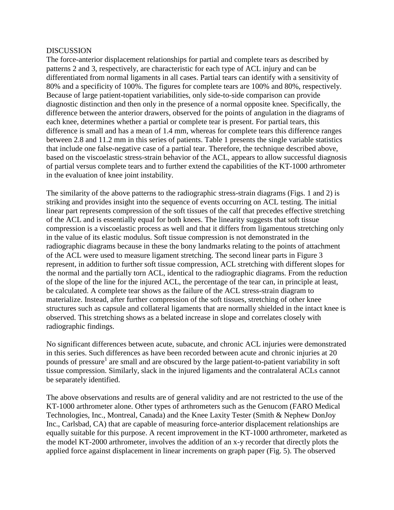#### DISCUSSION

The force-anterior displacement relationships for partial and complete tears as described by patterns 2 and 3, respectively, are characteristic for each type of ACL injury and can be differentiated from normal ligaments in all cases. Partial tears can identify with a sensitivity of 80% and a specificity of 100%. The figures for complete tears are 100% and 80%, respectively. Because of large patient-topatient variabilities, only side-to-side comparison can provide diagnostic distinction and then only in the presence of a normal opposite knee. Specifically, the difference between the anterior drawers, observed for the points of angulation in the diagrams of each knee, determines whether a partial or complete tear is present. For partial tears, this difference is small and has a mean of 1.4 mm, whereas for complete tears this difference ranges between 2.8 and 11.2 mm in this series of patients. Table 1 presents the single variable statistics that include one false-negative case of a partial tear. Therefore, the technique described above, based on the viscoelastic stress-strain behavior of the ACL, appears to allow successful diagnosis of partial versus complete tears and to further extend the capabilities of the KT-1000 arthrometer in the evaluation of knee joint instability.

The similarity of the above patterns to the radiographic stress-strain diagrams (Figs. 1 and 2) is striking and provides insight into the sequence of events occurring on ACL testing. The initial linear part represents compression of the soft tissues of the calf that precedes effective stretching of the ACL and is essentially equal for both knees. The linearity suggests that soft tissue compression is a viscoelastic process as well and that it differs from ligamentous stretching only in the value of its elastic modulus. Soft tissue compression is not demonstrated in the radiographic diagrams because in these the bony landmarks relating to the points of attachment of the ACL were used to measure ligament stretching. The second linear parts in Figure 3 represent, in addition to further soft tissue compression, ACL stretching with different slopes for the normal and the partially torn ACL, identical to the radiographic diagrams. From the reduction of the slope of the line for the injured ACL, the percentage of the tear can, in principle at least, be calculated. A complete tear shows as the failure of the ACL stress-strain diagram to materialize. Instead, after further compression of the soft tissues, stretching of other knee structures such as capsule and collateral ligaments that are normally shielded in the intact knee is observed. This stretching shows as a belated increase in slope and correlates closely with radiographic findings.

No significant differences between acute, subacute, and chronic ACL injuries were demonstrated in this series. Such differences as have been recorded between acute and chronic injuries at 20 pounds of pressure<sup>1</sup> are small and are obscured by the large patient-to-patient variability in soft tissue compression. Similarly, slack in the injured ligaments and the contralateral ACLs cannot be separately identified.

The above observations and results are of general validity and are not restricted to the use of the KT-1000 arthrometer alone. Other types of arthrometers such as the Genucom (FARO Medical Technologies, Inc., Montreal, Canada) and the Knee Laxity Tester (Smith & Nephew DonJoy Inc., Carlsbad, CA) that are capable of measuring force-anterior displacement relationships are equally suitable for this purpose. A recent improvement in the KT-1000 arthrometer, marketed as the model KT-2000 arthrometer, involves the addition of an x-y recorder that directly plots the applied force against displacement in linear increments on graph paper (Fig. 5). The observed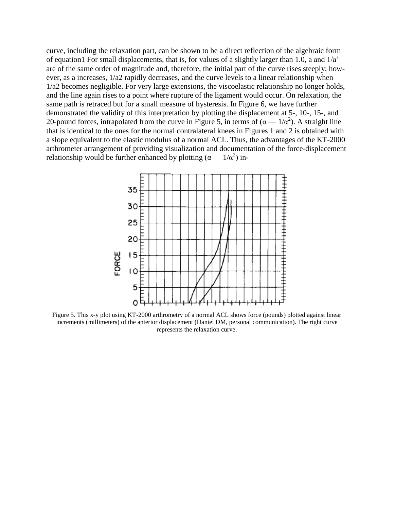curve, including the relaxation part, can be shown to be a direct reflection of the algebraic form of equation1 For small displacements, that is, for values of a slightly larger than 1.0, a and 1/a' are of the same order of magnitude and, therefore, the initial part of the curve rises steeply; however, as a increases, 1/a2 rapidly decreases, and the curve levels to a linear relationship when 1/a2 becomes negligible. For very large extensions, the viscoelastic relationship no longer holds, and the line again rises to a point where rupture of the ligament would occur. On relaxation, the same path is retraced but for a small measure of hysteresis. In Figure 6, we have further demonstrated the validity of this interpretation by plotting the displacement at 5-, 10-, 15-, and 20-pound forces, intrapolated from the curve in Figure 5, in terms of  $(\alpha - 1/\alpha^2)$ . A straight line that is identical to the ones for the normal contralateral knees in Figures 1 and 2 is obtained with a slope equivalent to the elastic modulus of a normal ACL. Thus, the advantages of the KT-2000 arthrometer arrangement of providing visualization and documentation of the force-displacement relationship would be further enhanced by plotting  $(\alpha - 1/\alpha^2)$  in-



Figure 5. This x-y plot using KT-2000 arthrometry of a normal ACL shows force (pounds) plotted against linear increments (millimeters) of the anterior displacement (Daniel DM, personal communication). The right curve represents the relaxation curve.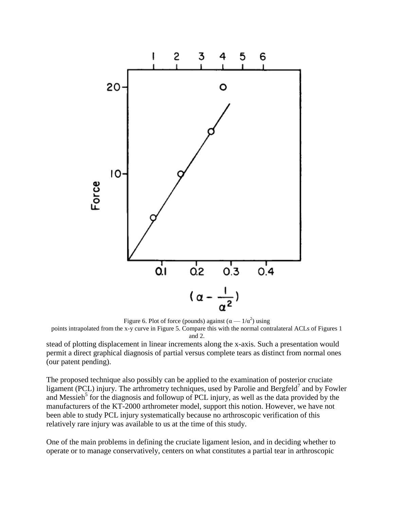

Figure 6. Plot of force (pounds) against ( $\alpha$  —  $1/\alpha^2$ ) using points intrapolated from the x-y curve in Figure 5. Compare this with the normal contralateral ACLs of Figures 1 and 2. stead of plotting displacement in linear increments along the x-axis. Such a presentation would

permit a direct graphical diagnosis of partial versus complete tears as distinct from normal ones (our patent pending).

The proposed technique also possibly can be applied to the examination of posterior cruciate ligament (PCL) injury. The arthrometry techniques, used by Parolie and Bergfeld<sup>7</sup> and by Fowler and Messieh<sup>5</sup> for the diagnosis and followup of PCL injury, as well as the data provided by the manufacturers of the KT-2000 arthrometer model, support this notion. However, we have not been able to study PCL injury systematically because no arthroscopic verification of this relatively rare injury was available to us at the time of this study.

One of the main problems in defining the cruciate ligament lesion, and in deciding whether to operate or to manage conservatively, centers on what constitutes a partial tear in arthroscopic